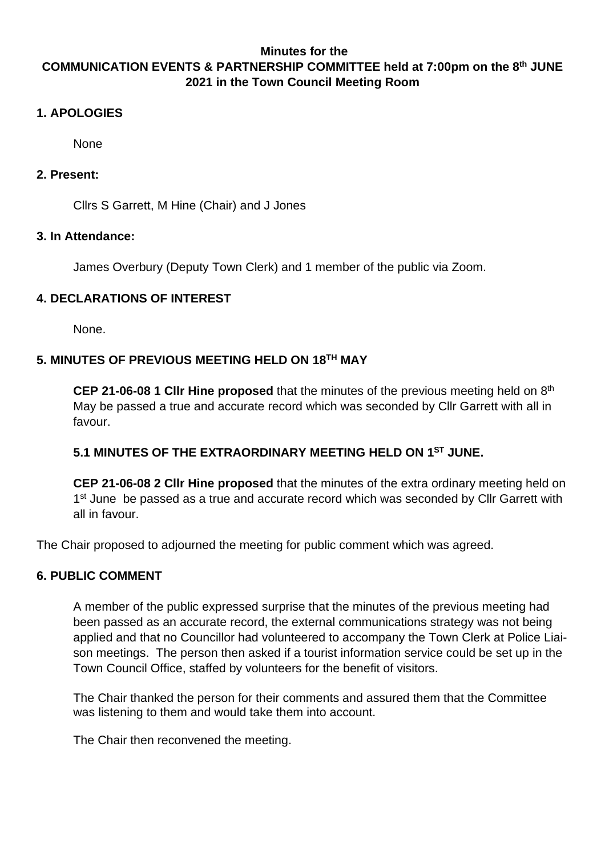### **Minutes for the COMMUNICATION EVENTS & PARTNERSHIP COMMITTEE held at 7:00pm on the 8 th JUNE 2021 in the Town Council Meeting Room**

# **1. APOLOGIES**

None

# **2. Present:**

Cllrs S Garrett, M Hine (Chair) and J Jones

### **3. In Attendance:**

James Overbury (Deputy Town Clerk) and 1 member of the public via Zoom.

# **4. DECLARATIONS OF INTEREST**

None.

# **5. MINUTES OF PREVIOUS MEETING HELD ON 18TH MAY**

**CEP 21-06-08 1 Cllr Hine proposed** that the minutes of the previous meeting held on 8 th May be passed a true and accurate record which was seconded by Cllr Garrett with all in favour.

# **5.1 MINUTES OF THE EXTRAORDINARY MEETING HELD ON 1 ST JUNE.**

**CEP 21-06-08 2 Cllr Hine proposed** that the minutes of the extra ordinary meeting held on 1<sup>st</sup> June be passed as a true and accurate record which was seconded by Cllr Garrett with all in favour.

The Chair proposed to adjourned the meeting for public comment which was agreed.

# **6. PUBLIC COMMENT**

A member of the public expressed surprise that the minutes of the previous meeting had been passed as an accurate record, the external communications strategy was not being applied and that no Councillor had volunteered to accompany the Town Clerk at Police Liaison meetings. The person then asked if a tourist information service could be set up in the Town Council Office, staffed by volunteers for the benefit of visitors.

The Chair thanked the person for their comments and assured them that the Committee was listening to them and would take them into account.

The Chair then reconvened the meeting.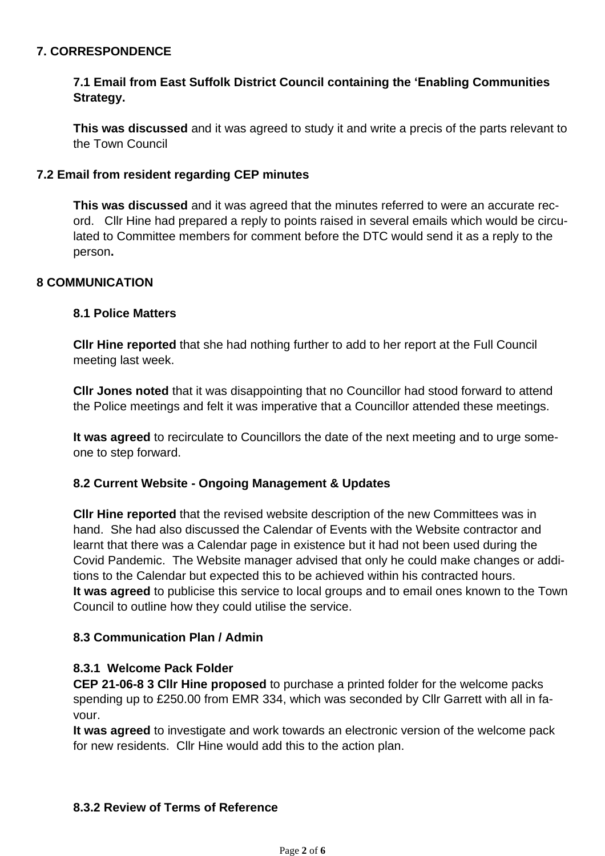### **7. CORRESPONDENCE**

# **7.1 Email from East Suffolk District Council containing the 'Enabling Communities Strategy.**

**This was discussed** and it was agreed to study it and write a precis of the parts relevant to the Town Council

#### **7.2 Email from resident regarding CEP minutes**

**This was discussed** and it was agreed that the minutes referred to were an accurate record. Cllr Hine had prepared a reply to points raised in several emails which would be circulated to Committee members for comment before the DTC would send it as a reply to the person**.**

#### **8 COMMUNICATION**

#### **8.1 Police Matters**

**Cllr Hine reported** that she had nothing further to add to her report at the Full Council meeting last week.

**Cllr Jones noted** that it was disappointing that no Councillor had stood forward to attend the Police meetings and felt it was imperative that a Councillor attended these meetings.

**It was agreed** to recirculate to Councillors the date of the next meeting and to urge someone to step forward.

#### **8.2 Current Website - Ongoing Management & Updates**

**Cllr Hine reported** that the revised website description of the new Committees was in hand. She had also discussed the Calendar of Events with the Website contractor and learnt that there was a Calendar page in existence but it had not been used during the Covid Pandemic. The Website manager advised that only he could make changes or additions to the Calendar but expected this to be achieved within his contracted hours. **It was agreed** to publicise this service to local groups and to email ones known to the Town Council to outline how they could utilise the service.

### **8.3 Communication Plan / Admin**

#### **8.3.1 Welcome Pack Folder**

**CEP 21-06-8 3 Cllr Hine proposed** to purchase a printed folder for the welcome packs spending up to £250.00 from EMR 334, which was seconded by Cllr Garrett with all in favour.

**It was agreed** to investigate and work towards an electronic version of the welcome pack for new residents. Cllr Hine would add this to the action plan.

### **8.3.2 Review of Terms of Reference**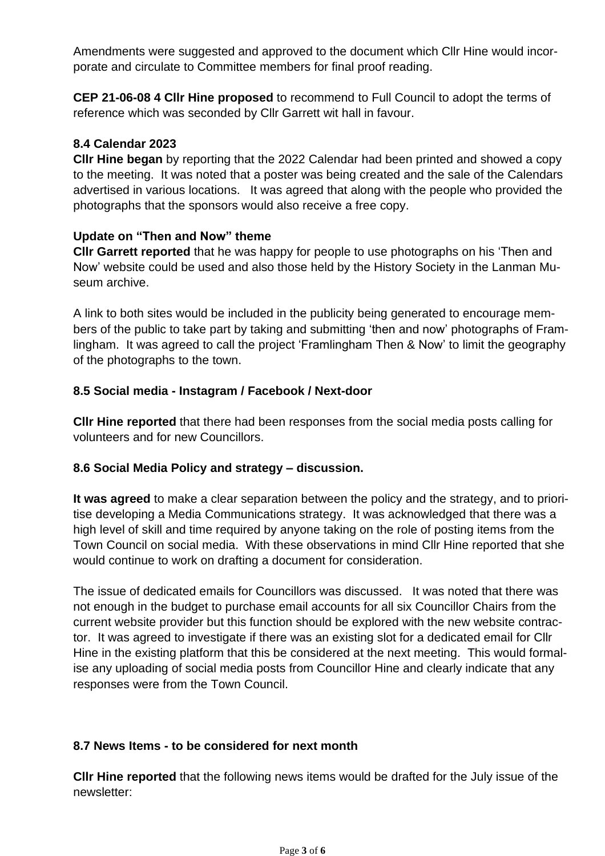Amendments were suggested and approved to the document which Cllr Hine would incorporate and circulate to Committee members for final proof reading.

**CEP 21-06-08 4 Cllr Hine proposed** to recommend to Full Council to adopt the terms of reference which was seconded by Cllr Garrett wit hall in favour.

### **8.4 Calendar 2023**

**Cllr Hine began** by reporting that the 2022 Calendar had been printed and showed a copy to the meeting. It was noted that a poster was being created and the sale of the Calendars advertised in various locations. It was agreed that along with the people who provided the photographs that the sponsors would also receive a free copy.

### **Update on "Then and Now" theme**

**Cllr Garrett reported** that he was happy for people to use photographs on his 'Then and Now' website could be used and also those held by the History Society in the Lanman Museum archive.

A link to both sites would be included in the publicity being generated to encourage members of the public to take part by taking and submitting 'then and now' photographs of Framlingham. It was agreed to call the project 'Framlingham Then & Now' to limit the geography of the photographs to the town.

### **8.5 Social media - Instagram / Facebook / Next-door**

**Cllr Hine reported** that there had been responses from the social media posts calling for volunteers and for new Councillors.

### **8.6 Social Media Policy and strategy – discussion.**

**It was agreed** to make a clear separation between the policy and the strategy, and to prioritise developing a Media Communications strategy. It was acknowledged that there was a high level of skill and time required by anyone taking on the role of posting items from the Town Council on social media. With these observations in mind Cllr Hine reported that she would continue to work on drafting a document for consideration.

The issue of dedicated emails for Councillors was discussed. It was noted that there was not enough in the budget to purchase email accounts for all six Councillor Chairs from the current website provider but this function should be explored with the new website contractor. It was agreed to investigate if there was an existing slot for a dedicated email for Cllr Hine in the existing platform that this be considered at the next meeting. This would formalise any uploading of social media posts from Councillor Hine and clearly indicate that any responses were from the Town Council.

# **8.7 News Items - to be considered for next month**

**Cllr Hine reported** that the following news items would be drafted for the July issue of the newsletter: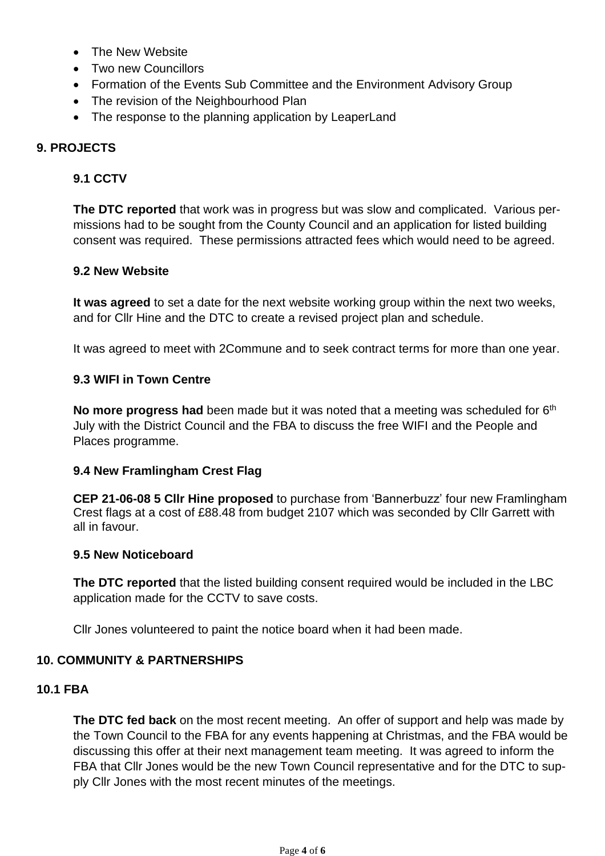- The New Website
- Two new Councillors
- Formation of the Events Sub Committee and the Environment Advisory Group
- The revision of the Neighbourhood Plan
- The response to the planning application by LeaperLand

# **9. PROJECTS**

# **9.1 CCTV**

**The DTC reported** that work was in progress but was slow and complicated. Various permissions had to be sought from the County Council and an application for listed building consent was required. These permissions attracted fees which would need to be agreed.

### **9.2 New Website**

**It was agreed** to set a date for the next website working group within the next two weeks, and for Cllr Hine and the DTC to create a revised project plan and schedule.

It was agreed to meet with 2Commune and to seek contract terms for more than one year.

### **9.3 WIFI in Town Centre**

**No more progress had** been made but it was noted that a meeting was scheduled for 6<sup>th</sup> July with the District Council and the FBA to discuss the free WIFI and the People and Places programme.

### **9.4 New Framlingham Crest Flag**

**CEP 21-06-08 5 Cllr Hine proposed** to purchase from 'Bannerbuzz' four new Framlingham Crest flags at a cost of £88.48 from budget 2107 which was seconded by Cllr Garrett with all in favour.

### **9.5 New Noticeboard**

**The DTC reported** that the listed building consent required would be included in the LBC application made for the CCTV to save costs.

Cllr Jones volunteered to paint the notice board when it had been made.

# **10. COMMUNITY & PARTNERSHIPS**

### **10.1 FBA**

**The DTC fed back** on the most recent meeting. An offer of support and help was made by the Town Council to the FBA for any events happening at Christmas, and the FBA would be discussing this offer at their next management team meeting. It was agreed to inform the FBA that Cllr Jones would be the new Town Council representative and for the DTC to supply Cllr Jones with the most recent minutes of the meetings.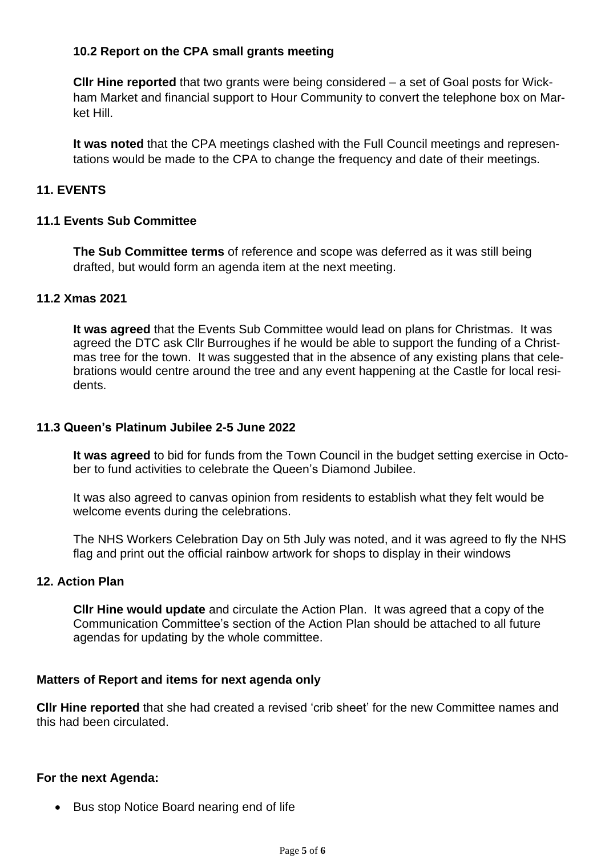### **10.2 Report on the CPA small grants meeting**

**Cllr Hine reported** that two grants were being considered – a set of Goal posts for Wickham Market and financial support to Hour Community to convert the telephone box on Market Hill.

**It was noted** that the CPA meetings clashed with the Full Council meetings and representations would be made to the CPA to change the frequency and date of their meetings.

### **11. EVENTS**

#### **11.1 Events Sub Committee**

**The Sub Committee terms** of reference and scope was deferred as it was still being drafted, but would form an agenda item at the next meeting.

### **11.2 Xmas 2021**

**It was agreed** that the Events Sub Committee would lead on plans for Christmas. It was agreed the DTC ask Cllr Burroughes if he would be able to support the funding of a Christmas tree for the town. It was suggested that in the absence of any existing plans that celebrations would centre around the tree and any event happening at the Castle for local residents.

#### **11.3 Queen's Platinum Jubilee 2-5 June 2022**

**It was agreed** to bid for funds from the Town Council in the budget setting exercise in October to fund activities to celebrate the Queen's Diamond Jubilee.

It was also agreed to canvas opinion from residents to establish what they felt would be welcome events during the celebrations.

The NHS Workers Celebration Day on 5th July was noted, and it was agreed to fly the NHS flag and print out the official rainbow artwork for shops to display in their windows

#### **12. Action Plan**

**Cllr Hine would update** and circulate the Action Plan. It was agreed that a copy of the Communication Committee's section of the Action Plan should be attached to all future agendas for updating by the whole committee.

#### **Matters of Report and items for next agenda only**

**Cllr Hine reported** that she had created a revised 'crib sheet' for the new Committee names and this had been circulated.

### **For the next Agenda:**

• Bus stop Notice Board nearing end of life